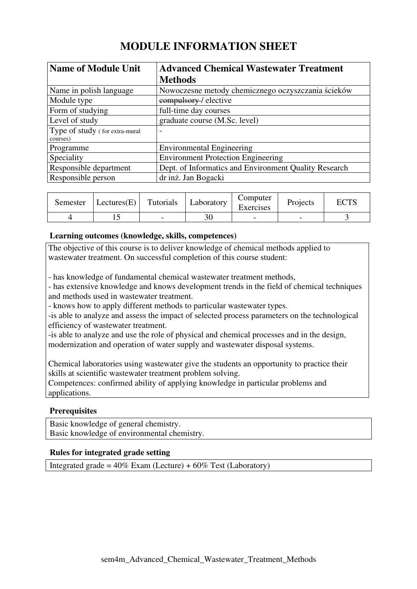# **MODULE INFORMATION SHEET**

| <b>Name of Module Unit</b>     | <b>Advanced Chemical Wastewater Treatment</b>         |
|--------------------------------|-------------------------------------------------------|
|                                | <b>Methods</b>                                        |
| Name in polish language        | Nowoczesne metody chemicznego oczyszczania ścieków    |
| Module type                    | eompulsory-/ elective                                 |
| Form of studying               | full-time day courses                                 |
| Level of study                 | graduate course (M.Sc. level)                         |
| Type of study (for extra-mural | $\overline{\phantom{a}}$                              |
| courses)                       |                                                       |
| Programme                      | <b>Environmental Engineering</b>                      |
| Speciality                     | <b>Environment Protection Engineering</b>             |
| Responsible department         | Dept. of Informatics and Environment Quality Research |
| Responsible person             | dr inż. Jan Bogacki                                   |

| Semester | $ \text{Lectures}(E) $ | Tutorials | Laboratory | Computer<br>Exercises | Projects | <b>ECTS</b> |
|----------|------------------------|-----------|------------|-----------------------|----------|-------------|
|          |                        |           |            |                       |          |             |

# **Learning outcomes (knowledge, skills, competences)**

The objective of this course is to deliver knowledge of chemical methods applied to wastewater treatment. On successful completion of this course student:

- has knowledge of fundamental chemical wastewater treatment methods,

- has extensive knowledge and knows development trends in the field of chemical techniques and methods used in wastewater treatment.

- knows how to apply different methods to particular wastewater types.

-is able to analyze and assess the impact of selected process parameters on the technological efficiency of wastewater treatment.

-is able to analyze and use the role of physical and chemical processes and in the design, modernization and operation of water supply and wastewater disposal systems.

Chemical laboratories using wastewater give the students an opportunity to practice their skills at scientific wastewater treatment problem solving.

Competences: confirmed ability of applying knowledge in particular problems and applications.

# **Prerequisites**

Basic knowledge of general chemistry. Basic knowledge of environmental chemistry.

#### **Rules for integrated grade setting**

Integrated grade =  $40\%$  Exam (Lecture) +  $60\%$  Test (Laboratory)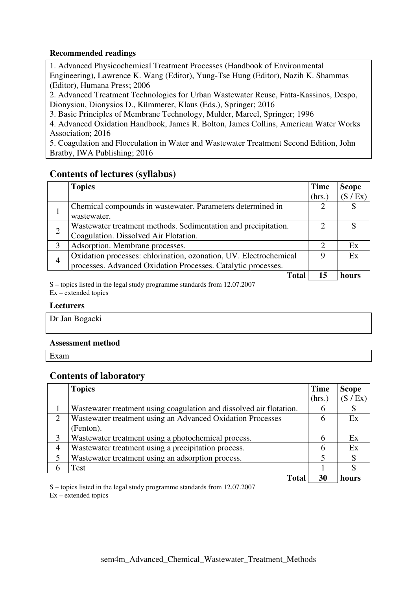### **Recommended readings**

1. Advanced Physicochemical Treatment Processes (Handbook of Environmental Engineering), Lawrence K. Wang (Editor), Yung-Tse Hung (Editor), Nazih K. Shammas (Editor), Humana Press; 2006

2. Advanced Treatment Technologies for Urban Wastewater Reuse, Fatta-Kassinos, Despo, Dionysiou, Dionysios D., Kümmerer, Klaus (Eds.), Springer; 2016

3. Basic Principles of Membrane Technology, Mulder, Marcel, Springer; 1996

4. Advanced Oxidation Handbook, James R. Bolton, James Collins, American Water Works Association; 2016

5. Coagulation and Flocculation in Water and Wastewater Treatment Second Edition, John Bratby, IWA Publishing; 2016

# **Contents of lectures (syllabus)**

|                | <b>Topics</b>                                                     | <b>Time</b>                 | <b>Scope</b> |
|----------------|-------------------------------------------------------------------|-----------------------------|--------------|
|                |                                                                   | (hrs.)                      | (S / Ex)     |
| 1              | Chemical compounds in wastewater. Parameters determined in        |                             |              |
|                | wastewater.                                                       |                             |              |
| $\overline{2}$ | Wastewater treatment methods. Sedimentation and precipitation.    | $\mathcal{D}_{\mathcal{A}}$ |              |
|                | Coagulation. Dissolved Air Flotation.                             |                             |              |
| 3              | Adsorption. Membrane processes.                                   | $\mathcal{D}_{\mathcal{L}}$ | Ex           |
| 4              | Oxidation processes: chlorination, ozonation, UV. Electrochemical | 9                           | Ex           |
|                | processes. Advanced Oxidation Processes. Catalytic processes.     |                             |              |
|                | <b>Total</b>                                                      | 15                          | hours        |

S – topics listed in the legal study programme standards from 12.07.2007 Ex – extended topics

#### **Lecturers**

Dr Jan Bogacki

# **Assessment method**

Exam

# **Contents of laboratory**

|                | <b>Topics</b>                                                       | <b>Time</b> | <b>Scope</b> |
|----------------|---------------------------------------------------------------------|-------------|--------------|
|                |                                                                     | (hrs.)      | (S / Ex)     |
|                | Wastewater treatment using coagulation and dissolved air flotation. | 6           | S            |
| $\overline{2}$ | Wastewater treatment using an Advanced Oxidation Processes          | 6           | Ex           |
|                | (Fenton).                                                           |             |              |
| 3              | Wastewater treatment using a photochemical process.                 | 6           | Ex           |
| $\overline{4}$ | Wastewater treatment using a precipitation process.                 | 6           | Ex           |
| 5              | Wastewater treatment using an adsorption process.                   |             | S            |
| 6              | Test                                                                |             | S            |
|                | <b>Total</b>                                                        | 30          | hours        |

S – topics listed in the legal study programme standards from 12.07.2007

Ex – extended topics